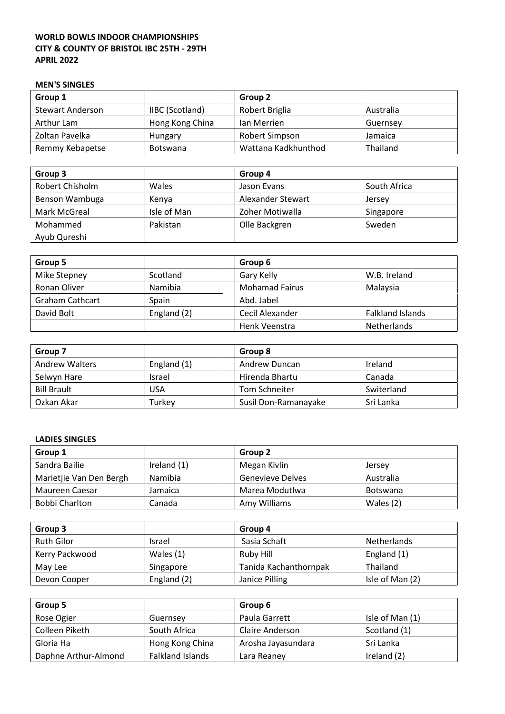## **WORLD BOWLS INDOOR CHAMPIONSHIPS CITY & COUNTY OF BRISTOL IBC 25TH - 29TH APRIL 2022**

## **MEN'S SINGLES**

| Group 1                 |                        | Group 2             |                 |
|-------------------------|------------------------|---------------------|-----------------|
| <b>Stewart Anderson</b> | <b>IIBC</b> (Scotland) | Robert Briglia      | Australia       |
| Arthur Lam              | Hong Kong China        | lan Merrien         | Guernsey        |
| Zoltan Pavelka          | Hungary                | Robert Simpson      | Jamaica         |
| Remmy Kebapetse         | <b>Botswana</b>        | Wattana Kadkhunthod | <b>Thailand</b> |

| Group 3         |             | Group 4           |              |
|-----------------|-------------|-------------------|--------------|
| Robert Chisholm | Wales       | Jason Evans       | South Africa |
| Benson Wambuga  | Kenya       | Alexander Stewart | Jersey       |
| Mark McGreal    | Isle of Man | Zoher Motiwalla   | Singapore    |
| Mohammed        | Pakistan    | Olle Backgren     | Sweden       |
| Ayub Qureshi    |             |                   |              |

| Group 5                |             | Group 6               |                         |
|------------------------|-------------|-----------------------|-------------------------|
| Mike Stepney           | Scotland    | Gary Kelly            | W.B. Ireland            |
| Ronan Oliver           | Namibia     | <b>Mohamad Fairus</b> | Malaysia                |
| <b>Graham Cathcart</b> | Spain       | Abd. Jabel            |                         |
| David Bolt             | England (2) | Cecil Alexander       | <b>Falkland Islands</b> |
|                        |             | Henk Veenstra         | <b>Netherlands</b>      |

| Group 7               |             | Group 8              |            |
|-----------------------|-------------|----------------------|------------|
| <b>Andrew Walters</b> | England (1) | Andrew Duncan        | Ireland    |
| Selwyn Hare           | Israel      | Hirenda Bhartu       | Canada     |
| <b>Bill Brault</b>    | USA         | Tom Schneiter        | Switerland |
| Ozkan Akar            | Turkey      | Susil Don-Ramanayake | Sri Lanka  |

## **LADIES SINGLES**

| Group 1                 |                | Group 2          |                 |
|-------------------------|----------------|------------------|-----------------|
| Sandra Bailie           | Ireland $(1)$  | Megan Kivlin     | Jersey          |
| Marietjie Van Den Bergh | <b>Namibia</b> | Genevieve Delves | Australia       |
| Maureen Caesar          | Jamaica        | Marea Modutlwa   | <b>Botswana</b> |
| Bobbi Charlton          | Canada         | Amy Williams     | Wales (2)       |

| Group 3           |             | Group 4               |                    |
|-------------------|-------------|-----------------------|--------------------|
| <b>Ruth Gilor</b> | Israel      | Sasia Schaft          | <b>Netherlands</b> |
| Kerry Packwood    | Wales $(1)$ | Ruby Hill             | England (1)        |
| May Lee           | Singapore   | Tanida Kachanthornpak | <b>Thailand</b>    |
| Devon Cooper      | England (2) | Janice Pilling        | Isle of Man (2)    |

| Group 5              |                  | Group 6            |                 |
|----------------------|------------------|--------------------|-----------------|
| Rose Ogier           | Guernsey         | Paula Garrett      | Isle of Man (1) |
| Colleen Piketh       | South Africa     | Claire Anderson    | Scotland (1)    |
| Gloria Ha            | Hong Kong China  | Arosha Jayasundara | Sri Lanka       |
| Daphne Arthur-Almond | Falkland Islands | Lara Reaney        | Ireland (2)     |